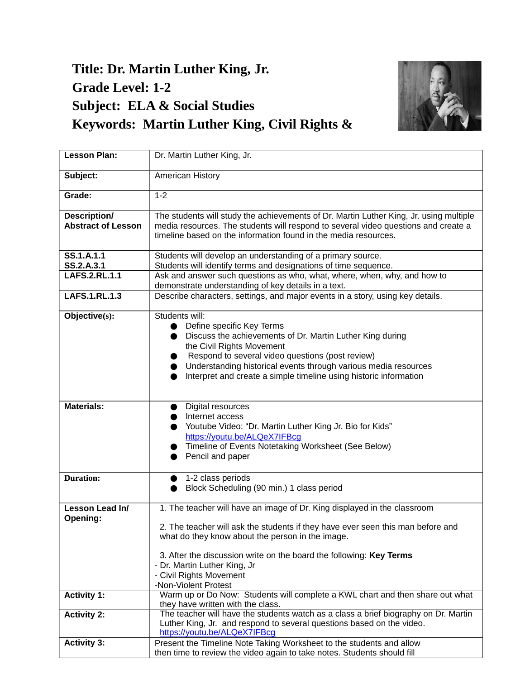## **Title: Dr. Martin Luther King, Jr. Grade Level: 1-2 Subject: ELA & Social Studies Keywords: Martin Luther King, Civil Rights &**



| <b>Lesson Plan:</b>                              | Dr. Martin Luther King, Jr.                                                                                                                                                  |
|--------------------------------------------------|------------------------------------------------------------------------------------------------------------------------------------------------------------------------------|
| Subject:                                         | American History                                                                                                                                                             |
| Grade:                                           | $1 - 2$                                                                                                                                                                      |
| <b>Description/</b><br><b>Abstract of Lesson</b> | The students will study the achievements of Dr. Martin Luther King, Jr. using multiple<br>media resources. The students will respond to several video questions and create a |
|                                                  | timeline based on the information found in the media resources.                                                                                                              |
| SS.1.A.1.1<br>SS.2.A.3.1                         | Students will develop an understanding of a primary source.<br>Students will identify terms and designations of time sequence.                                               |
| <b>LAFS.2.RL.1.1</b>                             | Ask and answer such questions as who, what, where, when, why, and how to<br>demonstrate understanding of key details in a text.                                              |
| <b>LAFS.1.RL.1.3</b>                             | Describe characters, settings, and major events in a story, using key details.                                                                                               |
| Objective(s):                                    | Students will:<br>Define specific Key Terms                                                                                                                                  |
|                                                  | Discuss the achievements of Dr. Martin Luther King during                                                                                                                    |
|                                                  | the Civil Rights Movement<br>Respond to several video questions (post review)                                                                                                |
|                                                  | Understanding historical events through various media resources                                                                                                              |
|                                                  | Interpret and create a simple timeline using historic information                                                                                                            |
|                                                  |                                                                                                                                                                              |
| <b>Materials:</b>                                | Digital resources                                                                                                                                                            |
|                                                  | Internet access                                                                                                                                                              |
|                                                  | Youtube Video: "Dr. Martin Luther King Jr. Bio for Kids"<br>https://youtu.be/ALQeX7IFBcq                                                                                     |
|                                                  | Timeline of Events Notetaking Worksheet (See Below)                                                                                                                          |
|                                                  | Pencil and paper                                                                                                                                                             |
|                                                  |                                                                                                                                                                              |
| <b>Duration:</b>                                 | 1-2 class periods                                                                                                                                                            |
|                                                  | Block Scheduling (90 min.) 1 class period                                                                                                                                    |
| <b>Lesson Lead In/</b><br>Opening:               | 1. The teacher will have an image of Dr. King displayed in the classroom                                                                                                     |
|                                                  | 2. The teacher will ask the students if they have ever seen this man before and                                                                                              |
|                                                  | what do they know about the person in the image.                                                                                                                             |
|                                                  | 3. After the discussion write on the board the following: Key Terms                                                                                                          |
|                                                  | - Dr. Martin Luther King, Jr                                                                                                                                                 |
|                                                  | - Civil Rights Movement                                                                                                                                                      |
|                                                  | -Non-Violent Protest<br>Warm up or Do Now: Students will complete a KWL chart and then share out what                                                                        |
| <b>Activity 1:</b>                               | they have written with the class.                                                                                                                                            |
| <b>Activity 2:</b>                               | The teacher will have the students watch as a class a brief biography on Dr. Martin                                                                                          |
|                                                  | Luther King, Jr. and respond to several questions based on the video.                                                                                                        |
|                                                  | https://youtu.be/ALQeX7IFBcg                                                                                                                                                 |
| <b>Activity 3:</b>                               | Present the Timeline Note Taking Worksheet to the students and allow                                                                                                         |
|                                                  | then time to review the video again to take notes. Students should fill                                                                                                      |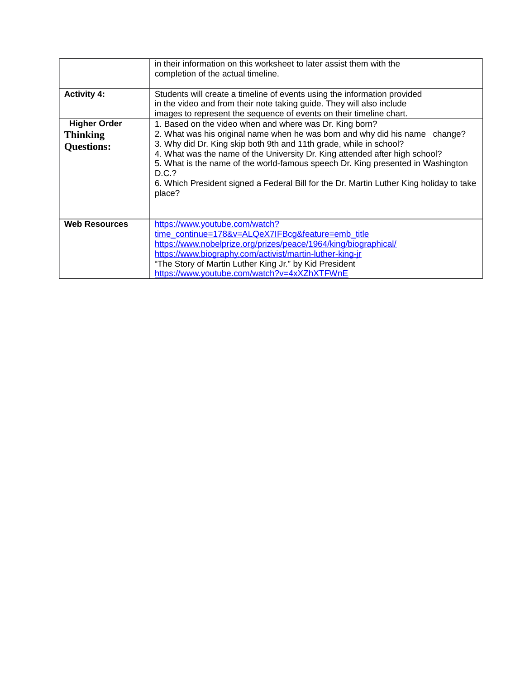|                      | in their information on this worksheet to later assist them with the<br>completion of the actual timeline.                                                                                                                                                                                                                                         |
|----------------------|----------------------------------------------------------------------------------------------------------------------------------------------------------------------------------------------------------------------------------------------------------------------------------------------------------------------------------------------------|
| <b>Activity 4:</b>   | Students will create a timeline of events using the information provided<br>in the video and from their note taking guide. They will also include<br>images to represent the sequence of events on their timeline chart.                                                                                                                           |
| <b>Higher Order</b>  | 1. Based on the video when and where was Dr. King born?                                                                                                                                                                                                                                                                                            |
| <b>Thinking</b>      | 2. What was his original name when he was born and why did his name change?                                                                                                                                                                                                                                                                        |
| <b>Questions:</b>    | 3. Why did Dr. King skip both 9th and 11th grade, while in school?<br>4. What was the name of the University Dr. King attended after high school?<br>5. What is the name of the world-famous speech Dr. King presented in Washington<br>D.C.?<br>6. Which President signed a Federal Bill for the Dr. Martin Luther King holiday to take<br>place? |
| <b>Web Resources</b> | https://www.youtube.com/watch?<br>time continue=178&v=ALQeX7IFBcg&feature=emb title                                                                                                                                                                                                                                                                |
|                      | https://www.nobelprize.org/prizes/peace/1964/king/biographical/                                                                                                                                                                                                                                                                                    |
|                      | https://www.biography.com/activist/martin-luther-king-jr                                                                                                                                                                                                                                                                                           |
|                      | "The Story of Martin Luther King Jr." by Kid President                                                                                                                                                                                                                                                                                             |
|                      | https://www.youtube.com/watch?v=4xXZhXTFWnE                                                                                                                                                                                                                                                                                                        |